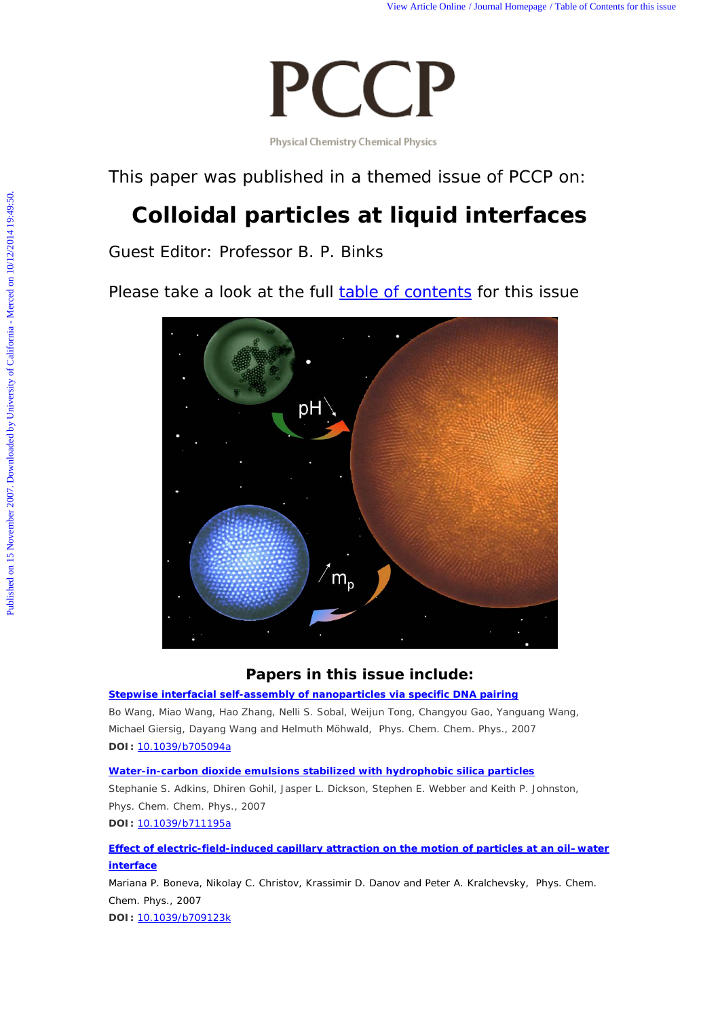

This paper was published in a themed issue of *PCCP* on:

# **Colloidal particles at liquid interfaces**

Guest Editor: Professor B. P. Binks

Please take a look at the full [table of contents](http://www.rsc.org/publishing/journals/CP/article.asp?Journal=CP5&VolumeYear=20079&Volume=9&JournalCode=CP&MasterJournalCode=CP&SubYear=2007&type=Issue&Issue=48) for this issue



## **Papers in this issue include:**

## **[Stepwise interfacial self-assembly of nanoparticles](http://www.rsc.org/Publishing/Journals/CP/article.asp?doi=b705094a)** *via* **specific DNA pairing**

Bo Wang, Miao Wang, Hao Zhang, Nelli S. Sobal, Weijun Tong, Changyou Gao, Yanguang Wang, Michael Giersig, Dayang Wang and Helmuth Möhwald, *Phys. Chem. Chem. Phys.*, 2007 **DOI:** [10.1039/b705094a](http://www.rsc.org/Publishing/Journals/CP/article.asp?doi=b705094a)

### **[Water-in-carbon dioxide emulsions stabilized with hydrophobic silica particles](http://www.rsc.org/Publishing/Journals/CP/article.asp?doi=b711195a)**

Stephanie S. Adkins, Dhiren Gohil, Jasper L. Dickson, Stephen E. Webber and Keith P. Johnston, *Phys. Chem. Chem. Phys.*, 2007

**DOI:** [10.1039/b711195a](http://www.rsc.org/Publishing/Journals/CP/article.asp?doi=b711195a)

**[Effect of electric-field-induced capillary attraction on the motion of particles at an oil–water](http://www.rsc.org/Publishing/Journals/CP/article.asp?doi=b709123k)  [interface](http://www.rsc.org/Publishing/Journals/CP/article.asp?doi=b709123k)**

Mariana P. Boneva, Nikolay C. Christov, Krassimir D. Danov and Peter A. Kralchevsky, *Phys. Chem. Chem. Phys.*, 2007

**DOI:** [10.1039/b709123k](http://www.rsc.org/Publishing/Journals/CP/article.asp?doi=b709123k)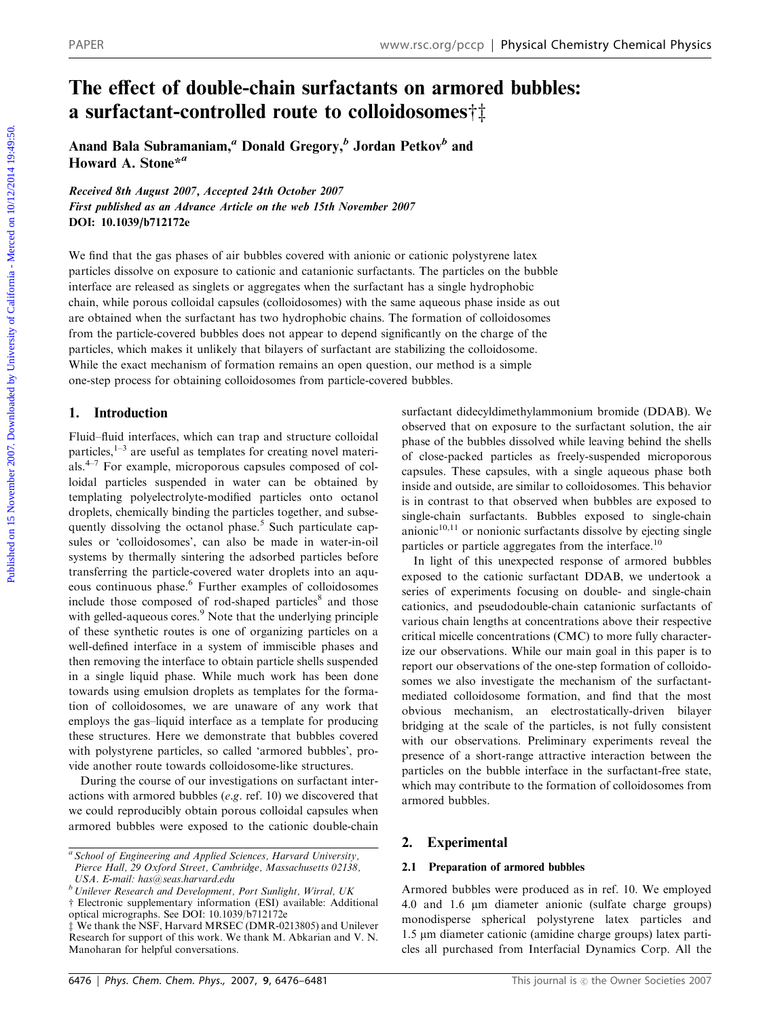## The effect of double-chain surfactants on armored bubbles: a surfactant-controlled route to colloidosomes $\dagger$

Anand Bala Subramaniam,<sup>a</sup> Donald Gregory,<sup>b</sup> Jordan Petkov<sup>b</sup> and Howard A. Stone\*<sup>a</sup>

Received 8th August 2007, Accepted 24th October 2007 First published as an Advance Article on the web 15th November 2007 DOI: 10.1039/b712172e

We find that the gas phases of air bubbles covered with anionic or cationic polystyrene latex particles dissolve on exposure to cationic and catanionic surfactants. The particles on the bubble interface are released as singlets or aggregates when the surfactant has a single hydrophobic chain, while porous colloidal capsules (colloidosomes) with the same aqueous phase inside as out are obtained when the surfactant has two hydrophobic chains. The formation of colloidosomes from the particle-covered bubbles does not appear to depend significantly on the charge of the particles, which makes it unlikely that bilayers of surfactant are stabilizing the colloidosome. While the exact mechanism of formation remains an open question, our method is a simple one-step process for obtaining colloidosomes from particle-covered bubbles. PAPER www.r.c.org/pccp | Physical Chemistry Chemical Physics<br> **The effect of double-chain surfactants on armored bubbless:**<br> **A surfactant-controlled route to colloidosomes<sup>+</sup>1<br>
Mand Bas Submanniam," Donald Gregory,<sup>8</sup> Jo** 

## 1. Introduction

Fluid–fluid interfaces, which can trap and structure colloidal particles, $1-3$  are useful as templates for creating novel materials. $4-7$  For example, microporous capsules composed of colloidal particles suspended in water can be obtained by templating polyelectrolyte-modified particles onto octanol droplets, chemically binding the particles together, and subsequently dissolving the octanol phase.<sup>5</sup> Such particulate capsules or 'colloidosomes', can also be made in water-in-oil systems by thermally sintering the adsorbed particles before transferring the particle-covered water droplets into an aqueous continuous phase.<sup>6</sup> Further examples of colloidosomes include those composed of rod-shaped particles<sup>8</sup> and those with gelled-aqueous cores.<sup>9</sup> Note that the underlying principle of these synthetic routes is one of organizing particles on a well-defined interface in a system of immiscible phases and then removing the interface to obtain particle shells suspended in a single liquid phase. While much work has been done towards using emulsion droplets as templates for the formation of colloidosomes, we are unaware of any work that employs the gas–liquid interface as a template for producing these structures. Here we demonstrate that bubbles covered with polystyrene particles, so called 'armored bubbles', provide another route towards colloidosome-like structures.

During the course of our investigations on surfactant interactions with armored bubbles (e.g. ref. 10) we discovered that we could reproducibly obtain porous colloidal capsules when armored bubbles were exposed to the cationic double-chain surfactant didecyldimethylammonium bromide (DDAB). We observed that on exposure to the surfactant solution, the air phase of the bubbles dissolved while leaving behind the shells of close-packed particles as freely-suspended microporous capsules. These capsules, with a single aqueous phase both inside and outside, are similar to colloidosomes. This behavior is in contrast to that observed when bubbles are exposed to single-chain surfactants. Bubbles exposed to single-chain anionic $10,11$  or nonionic surfactants dissolve by ejecting single particles or particle aggregates from the interface.<sup>10</sup>

In light of this unexpected response of armored bubbles exposed to the cationic surfactant DDAB, we undertook a series of experiments focusing on double- and single-chain cationics, and pseudodouble-chain catanionic surfactants of various chain lengths at concentrations above their respective critical micelle concentrations (CMC) to more fully characterize our observations. While our main goal in this paper is to report our observations of the one-step formation of colloidosomes we also investigate the mechanism of the surfactantmediated colloidosome formation, and find that the most obvious mechanism, an electrostatically-driven bilayer bridging at the scale of the particles, is not fully consistent with our observations. Preliminary experiments reveal the presence of a short-range attractive interaction between the particles on the bubble interface in the surfactant-free state, which may contribute to the formation of colloidosomes from armored bubbles.

#### 2. Experimental

#### 2.1 Preparation of armored bubbles

Armored bubbles were produced as in ref. 10. We employed 4.0 and 1.6 mm diameter anionic (sulfate charge groups) monodisperse spherical polystyrene latex particles and 1.5 mm diameter cationic (amidine charge groups) latex particles all purchased from Interfacial Dynamics Corp. All the

<sup>&</sup>lt;sup>a</sup> School of Engineering and Applied Sciences, Harvard University, Pierce Hall, 29 Oxford Street, Cambridge, Massachusetts 02138, USA. E-mail: has@seas.harvard.edu

 $b$  Unilever Research and Development, Port Sunlight, Wirral, UK

 $\dagger$  Electronic supplementary information (ESI) available: Additional

optical micrographs. See DOI: 10.1039/b712172e z We thank the NSF, Harvard MRSEC (DMR-0213805) and Unilever Research for support of this work. We thank M. Abkarian and V. N. Manoharan for helpful conversations.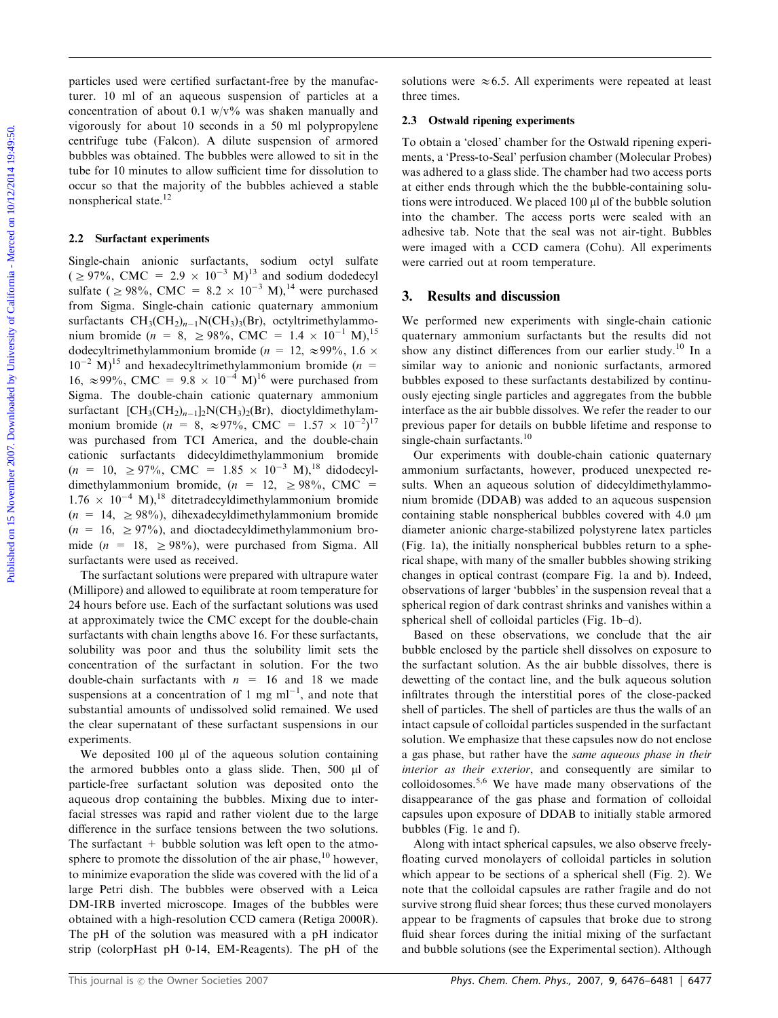particles used were certified surfactant-free by the manufacturer. 10 ml of an aqueous suspension of particles at a concentration of about 0.1 w/v% was shaken manually and vigorously for about 10 seconds in a 50 ml polypropylene centrifuge tube (Falcon). A dilute suspension of armored bubbles was obtained. The bubbles were allowed to sit in the tube for 10 minutes to allow sufficient time for dissolution to occur so that the majority of the bubbles achieved a stable nonspherical state.12

#### 2.2 Surfactant experiments

Single-chain anionic surfactants, sodium octyl sulfate  $( \geq 97\%, \text{ CMC} = 2.9 \times 10^{-3} \text{ M})^{13}$  and sodium dodedecyl sulfate ( $\geq 98\%$ , CMC = 8.2  $\times$  10<sup>-3</sup> M),<sup>14</sup> were purchased from Sigma. Single-chain cationic quaternary ammonium surfactants  $CH_3(CH_2)_{n-1}N(CH_3)_3(Br)$ , octyltrimethylammonium bromide ( $n = 8$ ,  $\ge 98\%$ , CMC = 1.4  $\times$  10<sup>-1</sup> M),<sup>15</sup> dodecyltrimethylammonium bromide ( $n = 12, \approx 99\%$ , 1.6  $\times$  $10^{-2}$  M)<sup>15</sup> and hexadecyltrimethylammonium bromide (n = 16,  $\approx$ 99%, CMC = 9.8  $\times$  10<sup>-4</sup> M)<sup>16</sup> were purchased from Sigma. The double-chain cationic quaternary ammonium surfactant  $[\text{CH}_3(\text{CH}_2)_{n-1}]_2\text{N}(\text{CH}_3)_2(\text{Br})$ , dioctyldimethylammonium bromide ( $n = 8$ ,  $\approx 97\%$ , CMC =  $1.57 \times 10^{-2}$ )<sup>17</sup> was purchased from TCI America, and the double-chain cationic surfactants didecyldimethylammonium bromide  $(n = 10, \geq 97\%, \text{ CMC} = 1.85 \times 10^{-3} \text{ M}),^{18} \text{ didodecyl-}$ dimethylammonium bromide,  $(n = 12, \geq 98\% , \text{ CMC} =$  $1.76 \times 10^{-4}$  M),<sup>18</sup> ditetradecyldimethylammonium bromide  $(n = 14, \geq 98\%)$ , dihexadecyldimethylammonium bromide  $(n = 16, \geq 97\%)$ , and dioctadecyldimethylammonium bromide ( $n = 18$ ,  $\geq 98\%$ ), were purchased from Sigma. All surfactants were used as received. purishes used were certified surfacturat-tices by the muntips-<br>
nuclear oscieta and the conservation of a surface on the surface on the surface on the conservation of a surface on the surface on the surface of the propert

The surfactant solutions were prepared with ultrapure water (Millipore) and allowed to equilibrate at room temperature for 24 hours before use. Each of the surfactant solutions was used at approximately twice the CMC except for the double-chain surfactants with chain lengths above 16. For these surfactants, solubility was poor and thus the solubility limit sets the concentration of the surfactant in solution. For the two double-chain surfactants with  $n = 16$  and 18 we made suspensions at a concentration of 1 mg  $ml^{-1}$ , and note that substantial amounts of undissolved solid remained. We used the clear supernatant of these surfactant suspensions in our experiments.

We deposited  $100$  µl of the aqueous solution containing the armored bubbles onto a glass slide. Then, 500 µl of particle-free surfactant solution was deposited onto the aqueous drop containing the bubbles. Mixing due to interfacial stresses was rapid and rather violent due to the large difference in the surface tensions between the two solutions. The surfactant  $+$  bubble solution was left open to the atmosphere to promote the dissolution of the air phase, $^{10}$  however, to minimize evaporation the slide was covered with the lid of a large Petri dish. The bubbles were observed with a Leica DM-IRB inverted microscope. Images of the bubbles were obtained with a high-resolution CCD camera (Retiga 2000R). The pH of the solution was measured with a pH indicator strip (colorpHast pH 0-14, EM-Reagents). The pH of the solutions were  $\approx 6.5$ . All experiments were repeated at least three times.

#### 2.3 Ostwald ripening experiments

To obtain a 'closed' chamber for the Ostwald ripening experiments, a 'Press-to-Seal' perfusion chamber (Molecular Probes) was adhered to a glass slide. The chamber had two access ports at either ends through which the the bubble-containing solutions were introduced. We placed 100 µl of the bubble solution into the chamber. The access ports were sealed with an adhesive tab. Note that the seal was not air-tight. Bubbles were imaged with a CCD camera (Cohu). All experiments were carried out at room temperature.

#### 3. Results and discussion

We performed new experiments with single-chain cationic quaternary ammonium surfactants but the results did not show any distinct differences from our earlier study.<sup>10</sup> In a similar way to anionic and nonionic surfactants, armored bubbles exposed to these surfactants destabilized by continuously ejecting single particles and aggregates from the bubble interface as the air bubble dissolves. We refer the reader to our previous paper for details on bubble lifetime and response to single-chain surfactants.<sup>10</sup>

Our experiments with double-chain cationic quaternary ammonium surfactants, however, produced unexpected results. When an aqueous solution of didecyldimethylammonium bromide (DDAB) was added to an aqueous suspension containing stable nonspherical bubbles covered with 4.0 mm diameter anionic charge-stabilized polystyrene latex particles (Fig. 1a), the initially nonspherical bubbles return to a spherical shape, with many of the smaller bubbles showing striking changes in optical contrast (compare Fig. 1a and b). Indeed, observations of larger 'bubbles' in the suspension reveal that a spherical region of dark contrast shrinks and vanishes within a spherical shell of colloidal particles (Fig. 1b–d).

Based on these observations, we conclude that the air bubble enclosed by the particle shell dissolves on exposure to the surfactant solution. As the air bubble dissolves, there is dewetting of the contact line, and the bulk aqueous solution infiltrates through the interstitial pores of the close-packed shell of particles. The shell of particles are thus the walls of an intact capsule of colloidal particles suspended in the surfactant solution. We emphasize that these capsules now do not enclose a gas phase, but rather have the same aqueous phase in their interior as their exterior, and consequently are similar to colloidosomes.5,6 We have made many observations of the disappearance of the gas phase and formation of colloidal capsules upon exposure of DDAB to initially stable armored bubbles (Fig. 1e and f).

Along with intact spherical capsules, we also observe freelyfloating curved monolayers of colloidal particles in solution which appear to be sections of a spherical shell (Fig. 2). We note that the colloidal capsules are rather fragile and do not survive strong fluid shear forces; thus these curved monolayers appear to be fragments of capsules that broke due to strong fluid shear forces during the initial mixing of the surfactant and bubble solutions (see the Experimental section). Although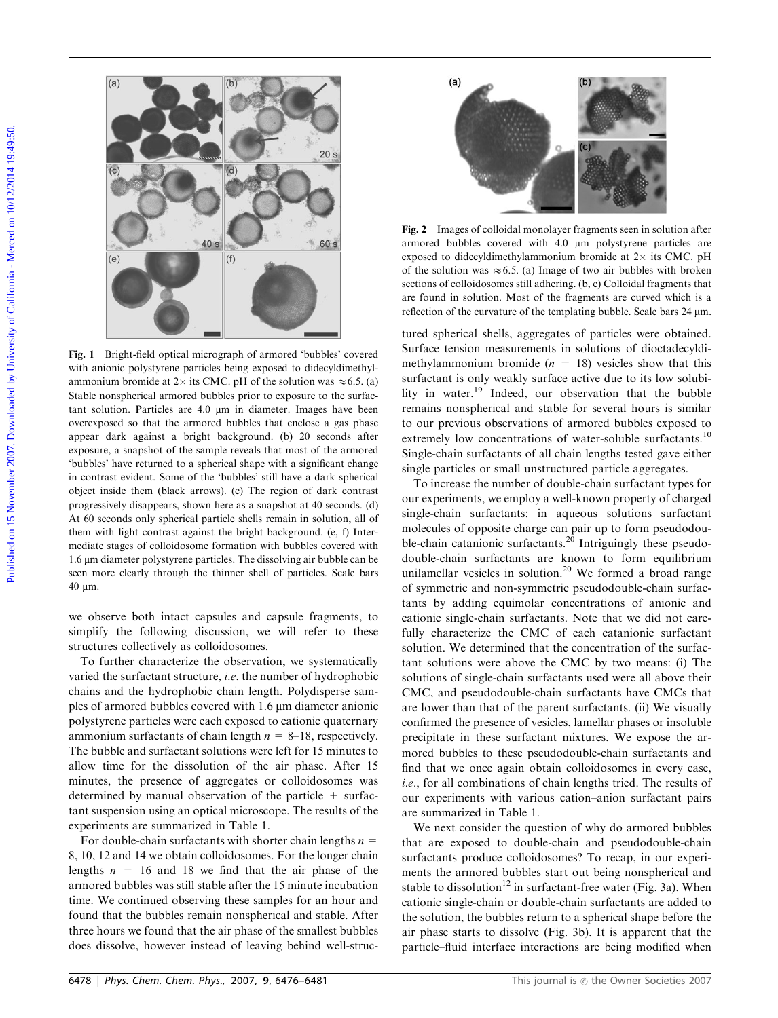

Fig. 1 Bright-field optical micrograph of armored 'bubbles' covered with anionic polystyrene particles being exposed to didecyldimethylammonium bromide at 2× its CMC. pH of the solution was  $\approx$  6.5. (a) Stable nonspherical armored bubbles prior to exposure to the surfactant solution. Particles are 4.0  $\mu$ m in diameter. Images have been overexposed so that the armored bubbles that enclose a gas phase appear dark against a bright background. (b) 20 seconds after exposure, a snapshot of the sample reveals that most of the armored 'bubbles' have returned to a spherical shape with a significant change in contrast evident. Some of the 'bubbles' still have a dark spherical object inside them (black arrows). (c) The region of dark contrast progressively disappears, shown here as a snapshot at 40 seconds. (d) At 60 seconds only spherical particle shells remain in solution, all of them with light contrast against the bright background. (e, f) Intermediate stages of colloidosome formation with bubbles covered with  $1.6 \mu$ m diameter polystyrene particles. The dissolving air bubble can be seen more clearly through the thinner shell of particles. Scale bars 40 mm.

we observe both intact capsules and capsule fragments, to simplify the following discussion, we will refer to these structures collectively as colloidosomes.

To further characterize the observation, we systematically varied the surfactant structure, i.e. the number of hydrophobic chains and the hydrophobic chain length. Polydisperse samples of armored bubbles covered with 1.6  $\mu$ m diameter anionic polystyrene particles were each exposed to cationic quaternary ammonium surfactants of chain length  $n = 8-18$ , respectively. The bubble and surfactant solutions were left for 15 minutes to allow time for the dissolution of the air phase. After 15 minutes, the presence of aggregates or colloidosomes was determined by manual observation of the particle  $+$  surfactant suspension using an optical microscope. The results of the experiments are summarized in Table 1.

For double-chain surfactants with shorter chain lengths  $n =$ 8, 10, 12 and 14 we obtain colloidosomes. For the longer chain lengths  $n = 16$  and 18 we find that the air phase of the armored bubbles was still stable after the 15 minute incubation time. We continued observing these samples for an hour and found that the bubbles remain nonspherical and stable. After three hours we found that the air phase of the smallest bubbles does dissolve, however instead of leaving behind well-struc-



Fig. 2 Images of colloidal monolayer fragments seen in solution after armored bubbles covered with 4.0 um polystyrene particles are exposed to didecyldimethylammonium bromide at  $2\times$  its CMC. pH of the solution was  $\approx 6.5$ . (a) Image of two air bubbles with broken sections of colloidosomes still adhering. (b, c) Colloidal fragments that are found in solution. Most of the fragments are curved which is a reflection of the curvature of the templating bubble. Scale bars 24  $\mu$ m.

tured spherical shells, aggregates of particles were obtained. Surface tension measurements in solutions of dioctadecyldimethylammonium bromide  $(n = 18)$  vesicles show that this surfactant is only weakly surface active due to its low solubility in water.19 Indeed, our observation that the bubble remains nonspherical and stable for several hours is similar to our previous observations of armored bubbles exposed to extremely low concentrations of water-soluble surfactants.<sup>10</sup> Single-chain surfactants of all chain lengths tested gave either single particles or small unstructured particle aggregates.

To increase the number of double-chain surfactant types for our experiments, we employ a well-known property of charged single-chain surfactants: in aqueous solutions surfactant molecules of opposite charge can pair up to form pseudodouble-chain catanionic surfactants.<sup>20</sup> Intriguingly these pseudodouble-chain surfactants are known to form equilibrium unilamellar vesicles in solution.<sup>20</sup> We formed a broad range of symmetric and non-symmetric pseudodouble-chain surfactants by adding equimolar concentrations of anionic and cationic single-chain surfactants. Note that we did not carefully characterize the CMC of each catanionic surfactant solution. We determined that the concentration of the surfactant solutions were above the CMC by two means: (i) The solutions of single-chain surfactants used were all above their CMC, and pseudodouble-chain surfactants have CMCs that are lower than that of the parent surfactants. (ii) We visually confirmed the presence of vesicles, lamellar phases or insoluble precipitate in these surfactant mixtures. We expose the armored bubbles to these pseudodouble-chain surfactants and find that we once again obtain colloidosomes in every case, i.e., for all combinations of chain lengths tried. The results of our experiments with various cation–anion surfactant pairs are summarized in Table 1.

We next consider the question of why do armored bubbles that are exposed to double-chain and pseudodouble-chain surfactants produce colloidosomes? To recap, in our experiments the armored bubbles start out being nonspherical and stable to dissolution<sup>12</sup> in surfactant-free water (Fig. 3a). When cationic single-chain or double-chain surfactants are added to the solution, the bubbles return to a spherical shape before the air phase starts to dissolve (Fig. 3b). It is apparent that the particle–fluid interface interactions are being modified when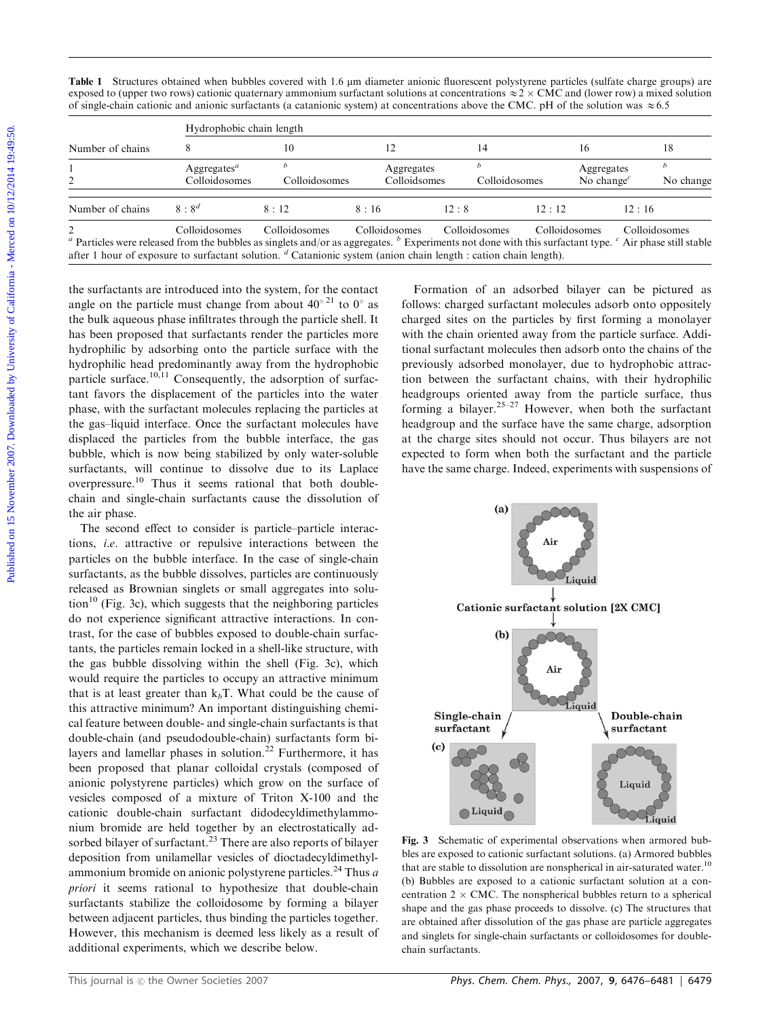| Table 1 Structures obtained when bubbles covered with 1.6 µm diameter anionic fluorescent polystyrene particles (sulfate charge groups) are        |  |
|----------------------------------------------------------------------------------------------------------------------------------------------------|--|
| exposed to (upper two rows) cationic quaternary ammonium surfactant solutions at concentrations $\approx$ 2 x CMC and (lower row) a mixed solution |  |
| of single-chain cationic and anionic surfactants (a catanionic system) at concentrations above the CMC. pH of the solution was $\approx 6.5$       |  |

|                  |                                                       |                                                                                                                                                                          |                            | Table 1 Structures obtained when bubbles covered with 1.6 µm diameter anionic fluorescent polystyrene particles (sulfate charge groups) are<br>exposed to (upper two rows) cationic quaternary ammonium surfactant solutions at concentrations $\approx$ 2 $\times$ CMC and (lower row) a mixed solution |                                                             |                               |  |
|------------------|-------------------------------------------------------|--------------------------------------------------------------------------------------------------------------------------------------------------------------------------|----------------------------|----------------------------------------------------------------------------------------------------------------------------------------------------------------------------------------------------------------------------------------------------------------------------------------------------------|-------------------------------------------------------------|-------------------------------|--|
|                  |                                                       | of single-chain cationic and anionic surfactants (a catanionic system) at concentrations above the CMC. pH of the solution was $\approx 6.5$<br>Hydrophobic chain length |                            |                                                                                                                                                                                                                                                                                                          |                                                             |                               |  |
| Number of chains | 8                                                     | 10                                                                                                                                                                       | 12                         | 14                                                                                                                                                                                                                                                                                                       | 16                                                          | 18                            |  |
| $\overline{c}$   | Aggregates <sup><math>a</math></sup><br>Colloidosomes | $\boldsymbol{b}$<br>Colloidosomes                                                                                                                                        | Aggregates<br>Colloidsomes | $\boldsymbol{b}$<br>Colloidosomes                                                                                                                                                                                                                                                                        | Aggregates<br>No change <sup><math>c</math></sup>           | $\boldsymbol{b}$<br>No change |  |
| Number of chains | $8:8^d$                                               | 8:12                                                                                                                                                                     | 8:16                       | 12:8                                                                                                                                                                                                                                                                                                     | 12:12<br>12:16                                              |                               |  |
|                  |                                                       | the bulk aqueous phase infiltrates through the particle shell. It                                                                                                        |                            |                                                                                                                                                                                                                                                                                                          | charged sites on the particles by first forming a monolayer |                               |  |
|                  |                                                       | has been proposed that surfactants render the particles more                                                                                                             |                            | with the chain oriented away from the particle surface. Addi-                                                                                                                                                                                                                                            |                                                             |                               |  |
|                  |                                                       | hydrophilic by adsorbing onto the particle surface with the                                                                                                              |                            | tional surfactant molecules then adsorb onto the chains of the                                                                                                                                                                                                                                           |                                                             |                               |  |
|                  |                                                       | hydrophilic head predominantly away from the hydrophobic                                                                                                                 |                            | previously adsorbed monolayer, due to hydrophobic attrac-                                                                                                                                                                                                                                                |                                                             |                               |  |
|                  |                                                       | particle surface. <sup>10,11</sup> Consequently, the adsorption of surfac-<br>tant favors the displacement of the particles into the water                               |                            | tion between the surfactant chains, with their hydrophilic<br>headgroups oriented away from the particle surface, thus                                                                                                                                                                                   |                                                             |                               |  |
|                  |                                                       | phase, with the surfactant molecules replacing the particles at                                                                                                          |                            | forming a bilayer. <sup>25-27</sup> However, when both the surfactant                                                                                                                                                                                                                                    |                                                             |                               |  |
|                  |                                                       | the gas-liquid interface. Once the surfactant molecules have                                                                                                             |                            | headgroup and the surface have the same charge, adsorption                                                                                                                                                                                                                                               |                                                             |                               |  |
|                  |                                                       | displaced the particles from the bubble interface, the gas<br>bubble, which is now being stabilized by only water-soluble                                                |                            | at the charge sites should not occur. Thus bilayers are not<br>expected to form when both the surfactant and the particle                                                                                                                                                                                |                                                             |                               |  |
|                  |                                                       | surfactants, will continue to dissolve due to its Laplace                                                                                                                |                            | have the same charge. Indeed, experiments with suspensions of                                                                                                                                                                                                                                            |                                                             |                               |  |
|                  |                                                       | overpressure. <sup>10</sup> Thus it seems rational that both double-                                                                                                     |                            |                                                                                                                                                                                                                                                                                                          |                                                             |                               |  |
| the air phase.   |                                                       | chain and single-chain surfactants cause the dissolution of                                                                                                              |                            | (a)                                                                                                                                                                                                                                                                                                      |                                                             |                               |  |
|                  |                                                       | The second effect to consider is particle-particle interac-                                                                                                              |                            |                                                                                                                                                                                                                                                                                                          |                                                             |                               |  |
|                  |                                                       | tions, i.e. attractive or repulsive interactions between the<br>particles on the bubble interface. In the case of single-chain                                           |                            |                                                                                                                                                                                                                                                                                                          | Air                                                         |                               |  |

The second effect to consider is particle–particle interactions, i.e. attractive or repulsive interactions between the particles on the bubble interface. In the case of single-chain surfactants, as the bubble dissolves, particles are continuously released as Brownian singlets or small aggregates into solution<sup>10</sup> (Fig. 3c), which suggests that the neighboring particles do not experience significant attractive interactions. In contrast, for the case of bubbles exposed to double-chain surfactants, the particles remain locked in a shell-like structure, with the gas bubble dissolving within the shell (Fig. 3c), which would require the particles to occupy an attractive minimum that is at least greater than  $k_bT$ . What could be the cause of this attractive minimum? An important distinguishing chemical feature between double- and single-chain surfactants is that double-chain (and pseudodouble-chain) surfactants form bilayers and lamellar phases in solution.<sup>22</sup> Furthermore, it has been proposed that planar colloidal crystals (composed of anionic polystyrene particles) which grow on the surface of vesicles composed of a mixture of Triton X-100 and the cationic double-chain surfactant didodecyldimethylammonium bromide are held together by an electrostatically adsorbed bilayer of surfactant.<sup>23</sup> There are also reports of bilayer deposition from unilamellar vesicles of dioctadecyldimethylammonium bromide on anionic polystyrene particles.<sup>24</sup> Thus  $a$ priori it seems rational to hypothesize that double-chain surfactants stabilize the colloidosome by forming a bilayer between adjacent particles, thus binding the particles together. However, this mechanism is deemed less likely as a result of additional experiments, which we describe below.



Fig. 3 Schematic of experimental observations when armored bubbles are exposed to cationic surfactant solutions. (a) Armored bubbles that are stable to dissolution are nonspherical in air-saturated water.<sup>10</sup> (b) Bubbles are exposed to a cationic surfactant solution at a concentration  $2 \times \text{CMC}$ . The nonspherical bubbles return to a spherical shape and the gas phase proceeds to dissolve. (c) The structures that are obtained after dissolution of the gas phase are particle aggregates and singlets for single-chain surfactants or colloidosomes for doublechain surfactants.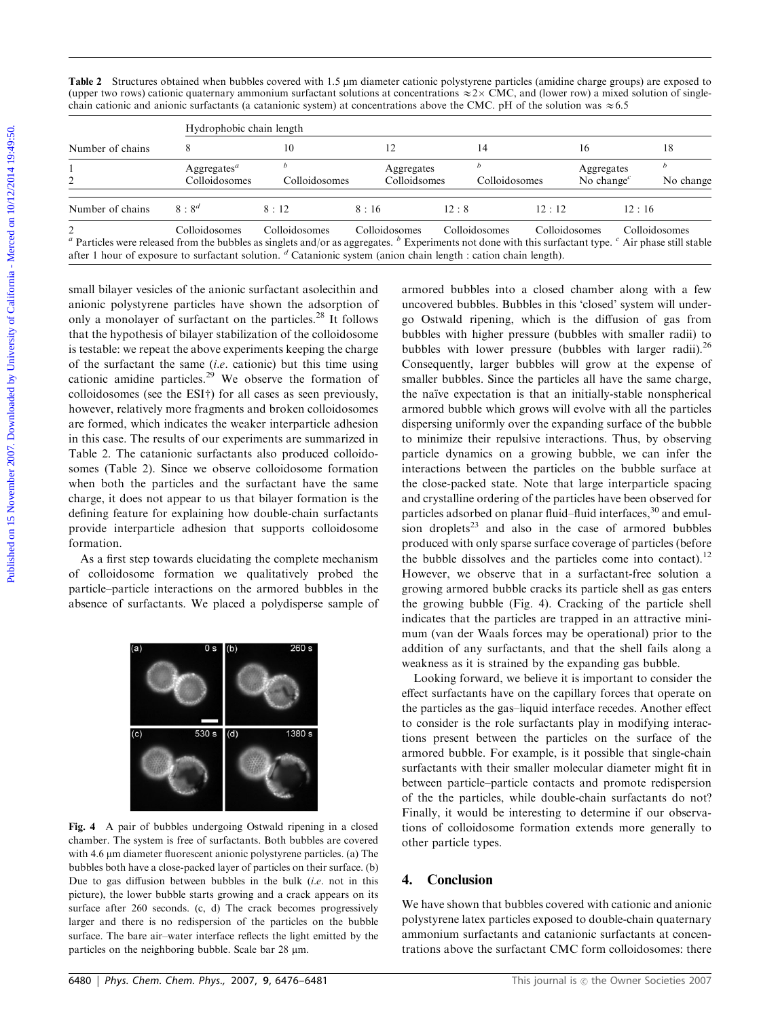| Table 2 Structures obtained when bubbles covered with 1.5 µm diameter cationic polystyrene particles (amidine charge groups) are exposed to        |
|----------------------------------------------------------------------------------------------------------------------------------------------------|
| (upper two rows) cationic quaternary ammonium surfactant solutions at concentrations $\approx$ 2x CMC, and (lower row) a mixed solution of single- |
| chain cationic and anionic surfactants (a catanionic system) at concentrations above the CMC. pH of the solution was $\approx 6.5$                 |

|                  |                                                                  | Table 2 Structures obtained when bubbles covered with 1.5 µm diameter cationic polystyrene particles (amidine charge groups) are exposed to<br>(upper two rows) cationic quaternary ammonium surfactant solutions at concentrations $\approx 2 \times \text{CMC}$ , and (lower row) a mixed solution of single- |                            |                                                                                                                                                  |               |                                                   |                               |
|------------------|------------------------------------------------------------------|-----------------------------------------------------------------------------------------------------------------------------------------------------------------------------------------------------------------------------------------------------------------------------------------------------------------|----------------------------|--------------------------------------------------------------------------------------------------------------------------------------------------|---------------|---------------------------------------------------|-------------------------------|
|                  |                                                                  | chain cationic and anionic surfactants (a catanionic system) at concentrations above the CMC. pH of the solution was $\approx 6.5$<br>Hydrophobic chain length                                                                                                                                                  |                            |                                                                                                                                                  |               |                                                   |                               |
| Number of chains | 8                                                                | 10                                                                                                                                                                                                                                                                                                              | 12                         | 14                                                                                                                                               | 16            |                                                   | 18                            |
| $\overline{c}$   | Aggregates <sup><math>a</math></sup><br>Colloidosomes            | $\boldsymbol{b}$<br>Colloidosomes                                                                                                                                                                                                                                                                               | Aggregates<br>Colloidsomes | $\boldsymbol{b}$                                                                                                                                 | Colloidosomes | Aggregates<br>No change <sup><math>c</math></sup> | $\boldsymbol{b}$<br>No change |
| Number of chains | $8:8^d$                                                          | 8:12                                                                                                                                                                                                                                                                                                            | 8:16                       | 12:8                                                                                                                                             | 12:12         | 12:16                                             |                               |
|                  |                                                                  | only a monolayer of surfactant on the particles. <sup>28</sup> It follows                                                                                                                                                                                                                                       |                            | go Ostwald ripening, which is the diffusion of gas from                                                                                          |               |                                                   |                               |
|                  |                                                                  |                                                                                                                                                                                                                                                                                                                 |                            |                                                                                                                                                  |               |                                                   |                               |
|                  | that the hypothesis of bilayer stabilization of the colloidosome | is testable: we repeat the above experiments keeping the charge                                                                                                                                                                                                                                                 |                            | bubbles with higher pressure (bubbles with smaller radii) to<br>bubbles with lower pressure (bubbles with larger radii). $^{26}$                 |               |                                                   |                               |
|                  |                                                                  | of the surfactant the same $(i.e.$ cationic) but this time using                                                                                                                                                                                                                                                |                            | Consequently, larger bubbles will grow at the expense of                                                                                         |               |                                                   |                               |
|                  |                                                                  | cationic amidine particles. <sup>29</sup> We observe the formation of                                                                                                                                                                                                                                           |                            | smaller bubbles. Since the particles all have the same charge,                                                                                   |               |                                                   |                               |
|                  |                                                                  | colloidosomes (see the ESI†) for all cases as seen previously,<br>however, relatively more fragments and broken colloidosomes                                                                                                                                                                                   |                            | the naïve expectation is that an initially-stable nonspherical<br>armored bubble which grows will evolve with all the particles                  |               |                                                   |                               |
|                  |                                                                  | are formed, which indicates the weaker interparticle adhesion                                                                                                                                                                                                                                                   |                            | dispersing uniformly over the expanding surface of the bubble                                                                                    |               |                                                   |                               |
|                  |                                                                  | in this case. The results of our experiments are summarized in                                                                                                                                                                                                                                                  |                            | to minimize their repulsive interactions. Thus, by observing                                                                                     |               |                                                   |                               |
|                  |                                                                  | Table 2. The catanionic surfactants also produced colloido-                                                                                                                                                                                                                                                     |                            | particle dynamics on a growing bubble, we can infer the                                                                                          |               |                                                   |                               |
|                  |                                                                  | somes (Table 2). Since we observe colloidosome formation                                                                                                                                                                                                                                                        |                            | interactions between the particles on the bubble surface at                                                                                      |               |                                                   |                               |
|                  |                                                                  | when both the particles and the surfactant have the same<br>charge, it does not appear to us that bilayer formation is the                                                                                                                                                                                      |                            | the close-packed state. Note that large interparticle spacing                                                                                    |               |                                                   |                               |
|                  |                                                                  | defining feature for explaining how double-chain surfactants                                                                                                                                                                                                                                                    |                            | and crystalline ordering of the particles have been observed for<br>particles adsorbed on planar fluid-fluid interfaces, <sup>30</sup> and emul- |               |                                                   |                               |
|                  |                                                                  | provide interparticle adhesion that supports colloidosome                                                                                                                                                                                                                                                       |                            | sion droplets <sup>23</sup> and also in the case of armored bubbles                                                                              |               |                                                   |                               |
| formation.       |                                                                  | As a first step towards elucidating the complete mechanism                                                                                                                                                                                                                                                      |                            | produced with only sparse surface coverage of particles (before<br>the bubble dissolves and the particles come into contact). <sup>12</sup>      |               |                                                   |                               |

As a first step towards elucidating the complete mechanism of colloidosome formation we qualitatively probed the particle–particle interactions on the armored bubbles in the absence of surfactants. We placed a polydisperse sample of



Fig. 4 A pair of bubbles undergoing Ostwald ripening in a closed chamber. The system is free of surfactants. Both bubbles are covered with 4.6 µm diameter fluorescent anionic polystyrene particles. (a) The bubbles both have a close-packed layer of particles on their surface. (b) Due to gas diffusion between bubbles in the bulk *(i.e.* not in this picture), the lower bubble starts growing and a crack appears on its surface after 260 seconds. (c, d) The crack becomes progressively larger and there is no redispersion of the particles on the bubble surface. The bare air–water interface reflects the light emitted by the particles on the neighboring bubble. Scale bar  $28 \mu m$ .

armored bubbles into a closed chamber along with a few uncovered bubbles. Bubbles in this 'closed' system will undergo Ostwald ripening, which is the diffusion of gas from bubbles with higher pressure (bubbles with smaller radii) to bubbles with lower pressure (bubbles with larger radii).<sup>26</sup> Consequently, larger bubbles will grow at the expense of smaller bubbles. Since the particles all have the same charge, the naïve expectation is that an initially-stable nonspherical armored bubble which grows will evolve with all the particles dispersing uniformly over the expanding surface of the bubble to minimize their repulsive interactions. Thus, by observing particle dynamics on a growing bubble, we can infer the interactions between the particles on the bubble surface at the close-packed state. Note that large interparticle spacing and crystalline ordering of the particles have been observed for particles adsorbed on planar fluid–fluid interfaces,<sup>30</sup> and emulsion droplets<sup>23</sup> and also in the case of armored bubbles produced with only sparse surface coverage of particles (before the bubble dissolves and the particles come into contact).<sup>12</sup> However, we observe that in a surfactant-free solution a growing armored bubble cracks its particle shell as gas enters the growing bubble (Fig. 4). Cracking of the particle shell indicates that the particles are trapped in an attractive minimum (van der Waals forces may be operational) prior to the addition of any surfactants, and that the shell fails along a weakness as it is strained by the expanding gas bubble.

Looking forward, we believe it is important to consider the effect surfactants have on the capillary forces that operate on the particles as the gas–liquid interface recedes. Another effect to consider is the role surfactants play in modifying interactions present between the particles on the surface of the armored bubble. For example, is it possible that single-chain surfactants with their smaller molecular diameter might fit in between particle–particle contacts and promote redispersion of the the particles, while double-chain surfactants do not? Finally, it would be interesting to determine if our observations of colloidosome formation extends more generally to other particle types.

### 4. Conclusion

We have shown that bubbles covered with cationic and anionic polystyrene latex particles exposed to double-chain quaternary ammonium surfactants and catanionic surfactants at concentrations above the surfactant CMC form colloidosomes: there